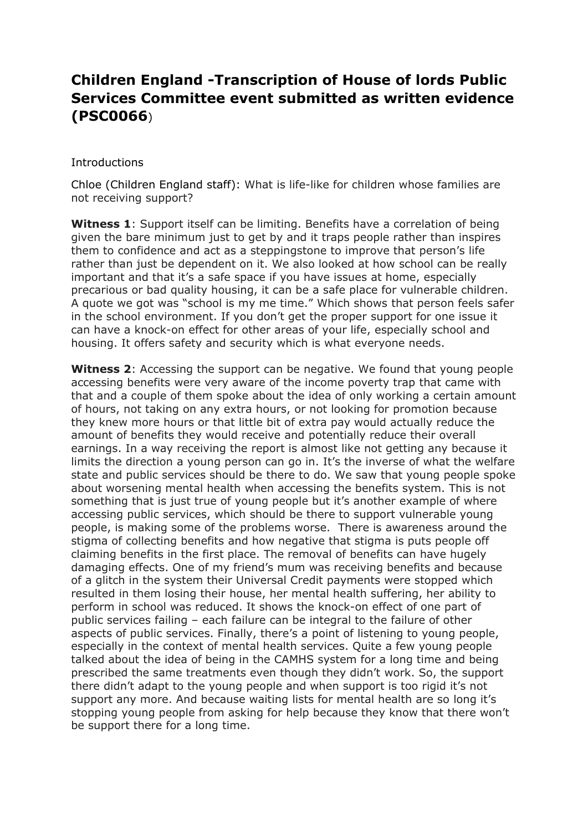## **Children England -Transcription of House of lords Public Services Committee event submitted as written evidence (PSC0066**)

## **Introductions**

Chloe (Children England staff): What is life-like for children whose families are not receiving support?

**Witness 1**: Support itself can be limiting. Benefits have a correlation of being given the bare minimum just to get by and it traps people rather than inspires them to confidence and act as a steppingstone to improve that person's life rather than just be dependent on it. We also looked at how school can be really important and that it's a safe space if you have issues at home, especially precarious or bad quality housing, it can be a safe place for vulnerable children. A quote we got was "school is my me time." Which shows that person feels safer in the school environment. If you don't get the proper support for one issue it can have a knock-on effect for other areas of your life, especially school and housing. It offers safety and security which is what everyone needs.

**Witness 2**: Accessing the support can be negative. We found that young people accessing benefits were very aware of the income poverty trap that came with that and a couple of them spoke about the idea of only working a certain amount of hours, not taking on any extra hours, or not looking for promotion because they knew more hours or that little bit of extra pay would actually reduce the amount of benefits they would receive and potentially reduce their overall earnings. In a way receiving the report is almost like not getting any because it limits the direction a young person can go in. It's the inverse of what the welfare state and public services should be there to do. We saw that young people spoke about worsening mental health when accessing the benefits system. This is not something that is just true of young people but it's another example of where accessing public services, which should be there to support vulnerable young people, is making some of the problems worse. There is awareness around the stigma of collecting benefits and how negative that stigma is puts people off claiming benefits in the first place. The removal of benefits can have hugely damaging effects. One of my friend's mum was receiving benefits and because of a glitch in the system their Universal Credit payments were stopped which resulted in them losing their house, her mental health suffering, her ability to perform in school was reduced. It shows the knock-on effect of one part of public services failing – each failure can be integral to the failure of other aspects of public services. Finally, there's a point of listening to young people, especially in the context of mental health services. Quite a few young people talked about the idea of being in the CAMHS system for a long time and being prescribed the same treatments even though they didn't work. So, the support there didn't adapt to the young people and when support is too rigid it's not support any more. And because waiting lists for mental health are so long it's stopping young people from asking for help because they know that there won't be support there for a long time.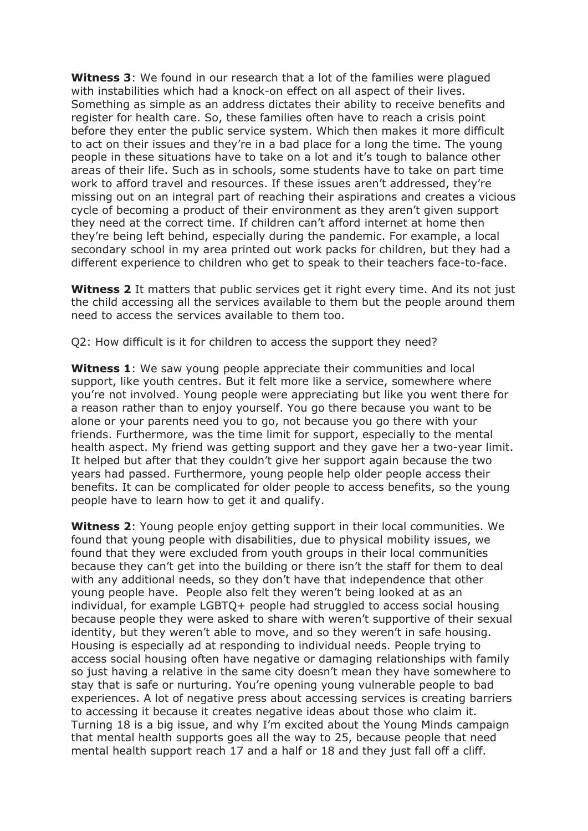**Witness 3**: We found in our research that a lot of the families were plagued with instabilities which had a knock-on effect on all aspect of their lives. Something as simple as an address dictates their ability to receive benefits and register for health care. So, these families often have to reach a crisis point before they enter the public service system. Which then makes it more difficult to act on their issues and they're in a bad place for a long the time. The young people in these situations have to take on a lot and it's tough to balance other areas of their life. Such as in schools, some students have to take on part time work to afford travel and resources. If these issues aren't addressed, they're missing out on an integral part of reaching their aspirations and creates a vicious cycle of becoming a product of their environment as they aren't given support they need at the correct time. If children can't afford internet at home then they're being left behind, especially during the pandemic. For example, a local secondary school in my area printed out work packs for children, but they had a different experience to children who get to speak to their teachers face-to-face.

**Witness 2** It matters that public services get it right every time. And its not just the child accessing all the services available to them but the people around them need to access the services available to them too.

Q2: How difficult is it for children to access the support they need?

**Witness 1**: We saw young people appreciate their communities and local support, like youth centres. But it felt more like a service, somewhere where you're not involved. Young people were appreciating but like you went there for a reason rather than to enjoy yourself. You go there because you want to be alone or your parents need you to go, not because you go there with your friends. Furthermore, was the time limit for support, especially to the mental health aspect. My friend was getting support and they gave her a two-year limit. It helped but after that they couldn't give her support again because the two years had passed. Furthermore, young people help older people access their benefits. It can be complicated for older people to access benefits, so the young people have to learn how to get it and qualify.

**Witness 2**: Young people enjoy getting support in their local communities. We found that young people with disabilities, due to physical mobility issues, we found that they were excluded from youth groups in their local communities because they can't get into the building or there isn't the staff for them to deal with any additional needs, so they don't have that independence that other young people have. People also felt they weren't being looked at as an individual, for example LGBTQ+ people had struggled to access social housing because people they were asked to share with weren't supportive of their sexual identity, but they weren't able to move, and so they weren't in safe housing. Housing is especially ad at responding to individual needs. People trying to access social housing often have negative or damaging relationships with family so just having a relative in the same city doesn't mean they have somewhere to stay that is safe or nurturing. You're opening young vulnerable people to bad experiences. A lot of negative press about accessing services is creating barriers to accessing it because it creates negative ideas about those who claim it. Turning 18 is a big issue, and why I'm excited about the Young Minds campaign that mental health supports goes all the way to 25, because people that need mental health support reach 17 and a half or 18 and they just fall off a cliff.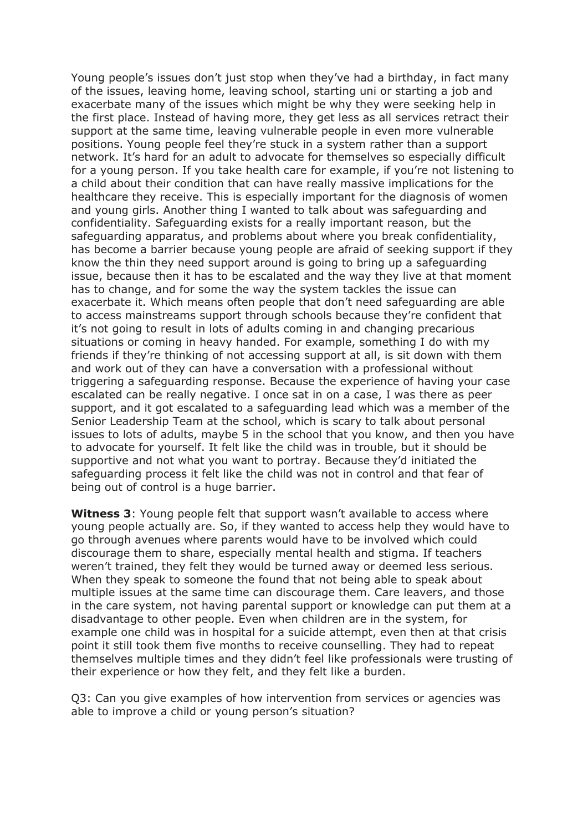Young people's issues don't just stop when they've had a birthday, in fact many of the issues, leaving home, leaving school, starting uni or starting a job and exacerbate many of the issues which might be why they were seeking help in the first place. Instead of having more, they get less as all services retract their support at the same time, leaving vulnerable people in even more vulnerable positions. Young people feel they're stuck in a system rather than a support network. It's hard for an adult to advocate for themselves so especially difficult for a young person. If you take health care for example, if you're not listening to a child about their condition that can have really massive implications for the healthcare they receive. This is especially important for the diagnosis of women and young girls. Another thing I wanted to talk about was safeguarding and confidentiality. Safeguarding exists for a really important reason, but the safeguarding apparatus, and problems about where you break confidentiality, has become a barrier because young people are afraid of seeking support if they know the thin they need support around is going to bring up a safeguarding issue, because then it has to be escalated and the way they live at that moment has to change, and for some the way the system tackles the issue can exacerbate it. Which means often people that don't need safeguarding are able to access mainstreams support through schools because they're confident that it's not going to result in lots of adults coming in and changing precarious situations or coming in heavy handed. For example, something I do with my friends if they're thinking of not accessing support at all, is sit down with them and work out of they can have a conversation with a professional without triggering a safeguarding response. Because the experience of having your case escalated can be really negative. I once sat in on a case, I was there as peer support, and it got escalated to a safeguarding lead which was a member of the Senior Leadership Team at the school, which is scary to talk about personal issues to lots of adults, maybe 5 in the school that you know, and then you have to advocate for yourself. It felt like the child was in trouble, but it should be supportive and not what you want to portray. Because they'd initiated the safeguarding process it felt like the child was not in control and that fear of being out of control is a huge barrier.

**Witness 3**: Young people felt that support wasn't available to access where young people actually are. So, if they wanted to access help they would have to go through avenues where parents would have to be involved which could discourage them to share, especially mental health and stigma. If teachers weren't trained, they felt they would be turned away or deemed less serious. When they speak to someone the found that not being able to speak about multiple issues at the same time can discourage them. Care leavers, and those in the care system, not having parental support or knowledge can put them at a disadvantage to other people. Even when children are in the system, for example one child was in hospital for a suicide attempt, even then at that crisis point it still took them five months to receive counselling. They had to repeat themselves multiple times and they didn't feel like professionals were trusting of their experience or how they felt, and they felt like a burden.

Q3: Can you give examples of how intervention from services or agencies was able to improve a child or young person's situation?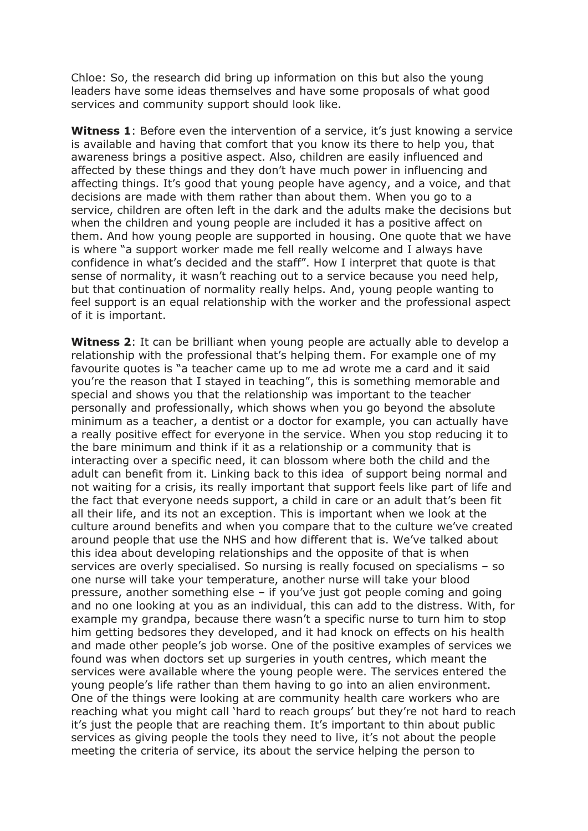Chloe: So, the research did bring up information on this but also the young leaders have some ideas themselves and have some proposals of what good services and community support should look like.

**Witness 1**: Before even the intervention of a service, it's just knowing a service is available and having that comfort that you know its there to help you, that awareness brings a positive aspect. Also, children are easily influenced and affected by these things and they don't have much power in influencing and affecting things. It's good that young people have agency, and a voice, and that decisions are made with them rather than about them. When you go to a service, children are often left in the dark and the adults make the decisions but when the children and young people are included it has a positive affect on them. And how young people are supported in housing. One quote that we have is where "a support worker made me fell really welcome and I always have confidence in what's decided and the staff". How I interpret that quote is that sense of normality, it wasn't reaching out to a service because you need help, but that continuation of normality really helps. And, young people wanting to feel support is an equal relationship with the worker and the professional aspect of it is important.

**Witness 2**: It can be brilliant when young people are actually able to develop a relationship with the professional that's helping them. For example one of my favourite quotes is "a teacher came up to me ad wrote me a card and it said you're the reason that I stayed in teaching", this is something memorable and special and shows you that the relationship was important to the teacher personally and professionally, which shows when you go beyond the absolute minimum as a teacher, a dentist or a doctor for example, you can actually have a really positive effect for everyone in the service. When you stop reducing it to the bare minimum and think if it as a relationship or a community that is interacting over a specific need, it can blossom where both the child and the adult can benefit from it. Linking back to this idea of support being normal and not waiting for a crisis, its really important that support feels like part of life and the fact that everyone needs support, a child in care or an adult that's been fit all their life, and its not an exception. This is important when we look at the culture around benefits and when you compare that to the culture we've created around people that use the NHS and how different that is. We've talked about this idea about developing relationships and the opposite of that is when services are overly specialised. So nursing is really focused on specialisms – so one nurse will take your temperature, another nurse will take your blood pressure, another something else – if you've just got people coming and going and no one looking at you as an individual, this can add to the distress. With, for example my grandpa, because there wasn't a specific nurse to turn him to stop him getting bedsores they developed, and it had knock on effects on his health and made other people's job worse. One of the positive examples of services we found was when doctors set up surgeries in youth centres, which meant the services were available where the young people were. The services entered the young people's life rather than them having to go into an alien environment. One of the things were looking at are community health care workers who are reaching what you might call 'hard to reach groups' but they're not hard to reach it's just the people that are reaching them. It's important to thin about public services as giving people the tools they need to live, it's not about the people meeting the criteria of service, its about the service helping the person to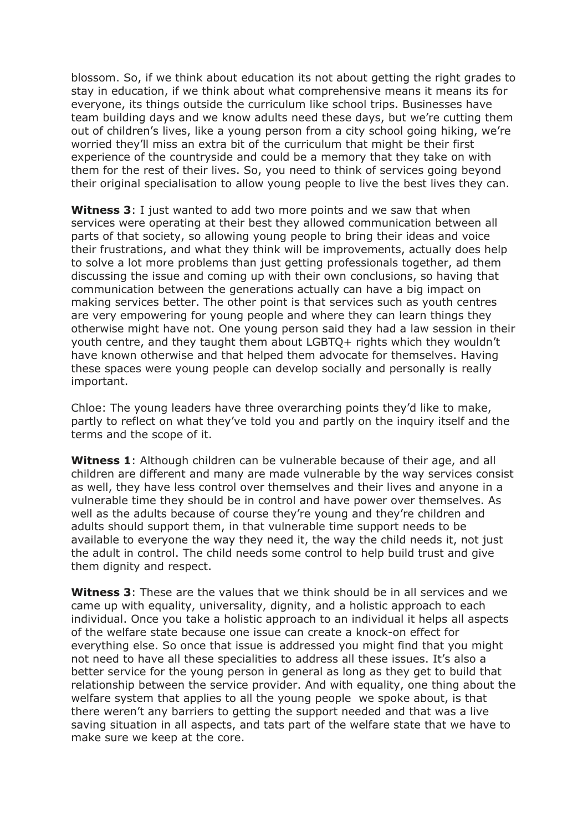blossom. So, if we think about education its not about getting the right grades to stay in education, if we think about what comprehensive means it means its for everyone, its things outside the curriculum like school trips. Businesses have team building days and we know adults need these days, but we're cutting them out of children's lives, like a young person from a city school going hiking, we're worried they'll miss an extra bit of the curriculum that might be their first experience of the countryside and could be a memory that they take on with them for the rest of their lives. So, you need to think of services going beyond their original specialisation to allow young people to live the best lives they can.

**Witness 3**: I just wanted to add two more points and we saw that when services were operating at their best they allowed communication between all parts of that society, so allowing young people to bring their ideas and voice their frustrations, and what they think will be improvements, actually does help to solve a lot more problems than just getting professionals together, ad them discussing the issue and coming up with their own conclusions, so having that communication between the generations actually can have a big impact on making services better. The other point is that services such as youth centres are very empowering for young people and where they can learn things they otherwise might have not. One young person said they had a law session in their youth centre, and they taught them about LGBTQ+ rights which they wouldn't have known otherwise and that helped them advocate for themselves. Having these spaces were young people can develop socially and personally is really important.

Chloe: The young leaders have three overarching points they'd like to make, partly to reflect on what they've told you and partly on the inquiry itself and the terms and the scope of it.

**Witness 1**: Although children can be vulnerable because of their age, and all children are different and many are made vulnerable by the way services consist as well, they have less control over themselves and their lives and anyone in a vulnerable time they should be in control and have power over themselves. As well as the adults because of course they're young and they're children and adults should support them, in that vulnerable time support needs to be available to everyone the way they need it, the way the child needs it, not just the adult in control. The child needs some control to help build trust and give them dignity and respect.

**Witness 3**: These are the values that we think should be in all services and we came up with equality, universality, dignity, and a holistic approach to each individual. Once you take a holistic approach to an individual it helps all aspects of the welfare state because one issue can create a knock-on effect for everything else. So once that issue is addressed you might find that you might not need to have all these specialities to address all these issues. It's also a better service for the young person in general as long as they get to build that relationship between the service provider. And with equality, one thing about the welfare system that applies to all the young people we spoke about, is that there weren't any barriers to getting the support needed and that was a live saving situation in all aspects, and tats part of the welfare state that we have to make sure we keep at the core.